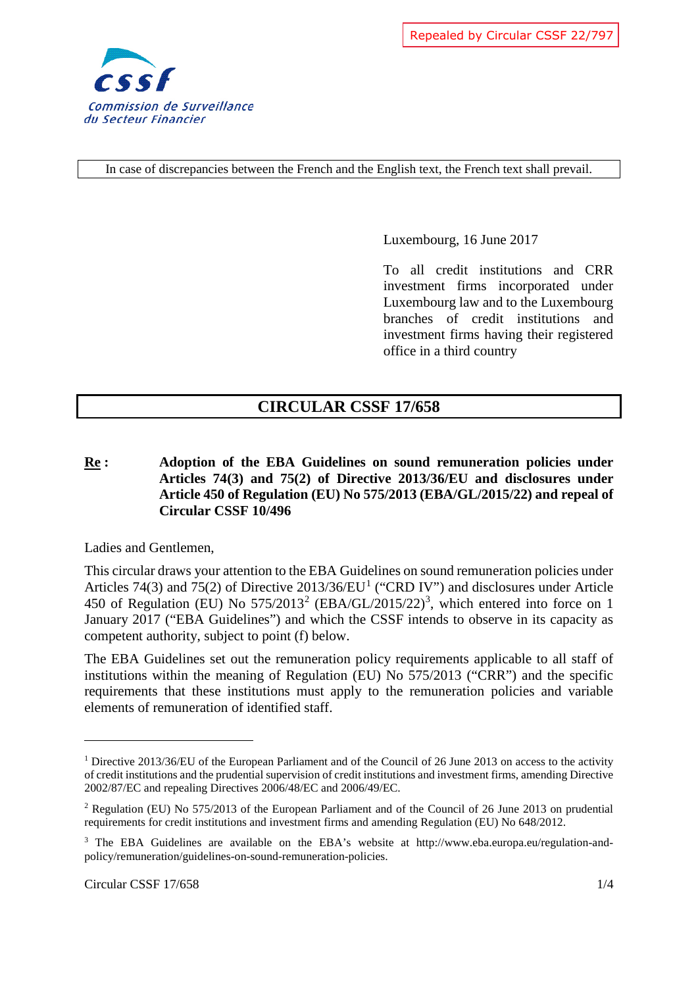

Repealed by Circular CSSF 22/797

In case of discrepancies between the French and the English text, the French text shall prevail.

Luxembourg, 16 June 2017

To all credit institutions and CRR investment firms incorporated under Luxembourg law and to the Luxembourg branches of credit institutions and investment firms having their registered office in a third country

## **CIRCULAR CSSF 17/658**

**Re : Adoption of the EBA Guidelines on sound remuneration policies under Articles 74(3) and 75(2) of Directive 2013/36/EU and disclosures under Article 450 of Regulation (EU) No 575/2013 (EBA/GL/2015/22) and repeal of Circular CSSF 10/496** 

Ladies and Gentlemen,

This circular draws your attention to the EBA Guidelines on sound remuneration policies under Articles 74(3) and 75(2) of Directive  $2013/36/EU<sup>1</sup>$  $2013/36/EU<sup>1</sup>$  $2013/36/EU<sup>1</sup>$  ("CRD IV") and disclosures under Article 450 of Regulation (EU) No  $575/2013^2$  $575/2013^2$  $575/2013^2$  $575/2013^2$  $575/2013^2$  (EBA/GL/2015/22)<sup>3</sup>, which entered into force on 1 January 2017 ("EBA Guidelines") and which the CSSF intends to observe in its capacity as competent authority, subject to point (f) below.

The EBA Guidelines set out the remuneration policy requirements applicable to all staff of institutions within the meaning of Regulation (EU) No 575/2013 ("CRR") and the specific requirements that these institutions must apply to the remuneration policies and variable elements of remuneration of identified staff.

<span id="page-0-0"></span><sup>1</sup> Directive 2013/36/EU of the European Parliament and of the Council of 26 June 2013 on access to the activity of credit institutions and the prudential supervision of credit institutions and investment firms, amending Directive 2002/87/EC and repealing Directives 2006/48/EC and 2006/49/EC.

<span id="page-0-1"></span><sup>2</sup> Regulation (EU) No 575/2013 of the European Parliament and of the Council of 26 June 2013 on prudential requirements for credit institutions and investment firms and amending Regulation (EU) No 648/2012.

<span id="page-0-2"></span><sup>&</sup>lt;sup>3</sup> The EBA Guidelines are available on the EBA's website at http://www.eba.europa.eu/regulation-andpolicy/remuneration/guidelines-on-sound-remuneration-policies.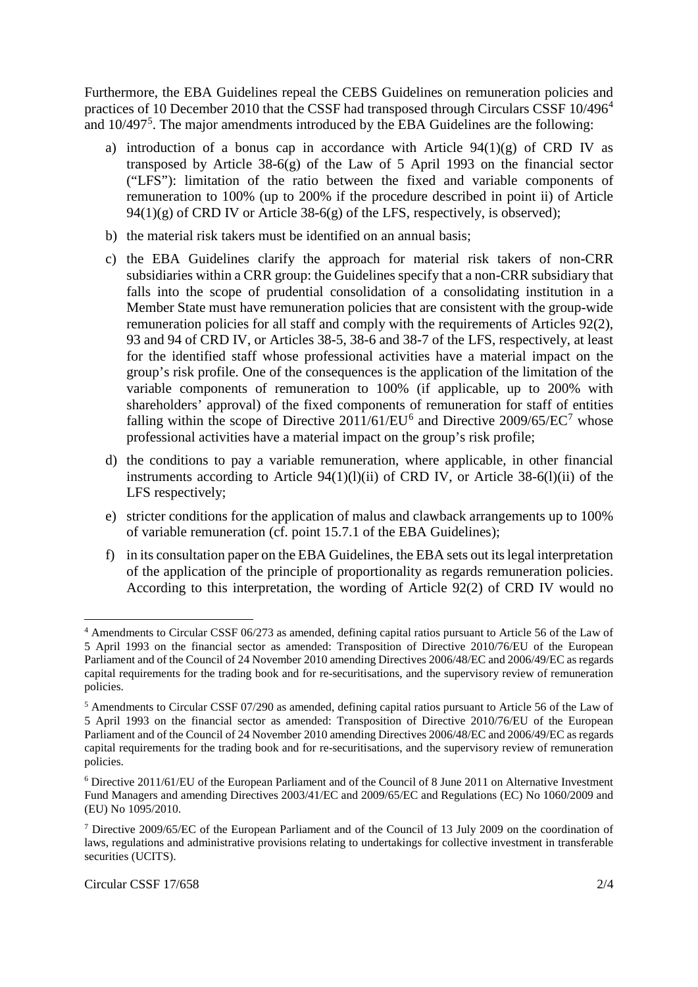Furthermore, the EBA Guidelines repeal the CEBS Guidelines on remuneration policies and practices of 10 December 2010 that the CSSF had transposed through Circulars CSSF 10/[4](#page-1-0)96<sup>4</sup> and  $10/497<sup>5</sup>$  $10/497<sup>5</sup>$  $10/497<sup>5</sup>$ . The major amendments introduced by the EBA Guidelines are the following:

- a) introduction of a bonus cap in accordance with Article  $94(1)(g)$  of CRD IV as transposed by Article  $38-6(g)$  of the Law of 5 April 1993 on the financial sector ("LFS"): limitation of the ratio between the fixed and variable components of remuneration to 100% (up to 200% if the procedure described in point ii) of Article  $94(1)(g)$  of CRD IV or Article 38-6(g) of the LFS, respectively, is observed);
- b) the material risk takers must be identified on an annual basis;
- c) the EBA Guidelines clarify the approach for material risk takers of non-CRR subsidiaries within a CRR group: the Guidelines specify that a non-CRR subsidiary that falls into the scope of prudential consolidation of a consolidating institution in a Member State must have remuneration policies that are consistent with the group-wide remuneration policies for all staff and comply with the requirements of Articles 92(2), 93 and 94 of CRD IV, or Articles 38-5, 38-6 and 38-7 of the LFS, respectively, at least for the identified staff whose professional activities have a material impact on the group's risk profile. One of the consequences is the application of the limitation of the variable components of remuneration to 100% (if applicable, up to 200% with shareholders' approval) of the fixed components of remuneration for staff of entities falling within the scope of Directive  $2011/61/EU^6$  $2011/61/EU^6$  $2011/61/EU^6$  and Directive  $2009/65/EC^7$  $2009/65/EC^7$  whose professional activities have a material impact on the group's risk profile;
- d) the conditions to pay a variable remuneration, where applicable, in other financial instruments according to Article  $94(1)(1)(ii)$  of CRD IV, or Article 38-6(1)(ii) of the LFS respectively;
- e) stricter conditions for the application of malus and clawback arrangements up to 100% of variable remuneration (cf. point 15.7.1 of the EBA Guidelines);
- f) in its consultation paper on the EBA Guidelines, the EBA sets out its legal interpretation of the application of the principle of proportionality as regards remuneration policies. According to this interpretation, the wording of Article 92(2) of CRD IV would no

<span id="page-1-0"></span> <sup>4</sup> Amendments to Circular CSSF 06/273 as amended, defining capital ratios pursuant to Article 56 of the Law of 5 April 1993 on the financial sector as amended: Transposition of Directive 2010/76/EU of the European Parliament and of the Council of 24 November 2010 amending Directives 2006/48/EC and 2006/49/EC as regards capital requirements for the trading book and for re-securitisations, and the supervisory review of remuneration policies.

<span id="page-1-1"></span><sup>5</sup> Amendments to Circular CSSF 07/290 as amended, defining capital ratios pursuant to Article 56 of the Law of 5 April 1993 on the financial sector as amended: Transposition of Directive 2010/76/EU of the European Parliament and of the Council of 24 November 2010 amending Directives 2006/48/EC and 2006/49/EC as regards capital requirements for the trading book and for re-securitisations, and the supervisory review of remuneration policies.

<span id="page-1-2"></span><sup>6</sup> Directive 2011/61/EU of the European Parliament and of the Council of 8 June 2011 on Alternative Investment Fund Managers and amending Directives 2003/41/EC and 2009/65/EC and Regulations (EC) No 1060/2009 and (EU) No 1095/2010.

<span id="page-1-3"></span><sup>7</sup> Directive 2009/65/EC of the European Parliament and of the Council of 13 July 2009 on the coordination of laws, regulations and administrative provisions relating to undertakings for collective investment in transferable securities (UCITS).